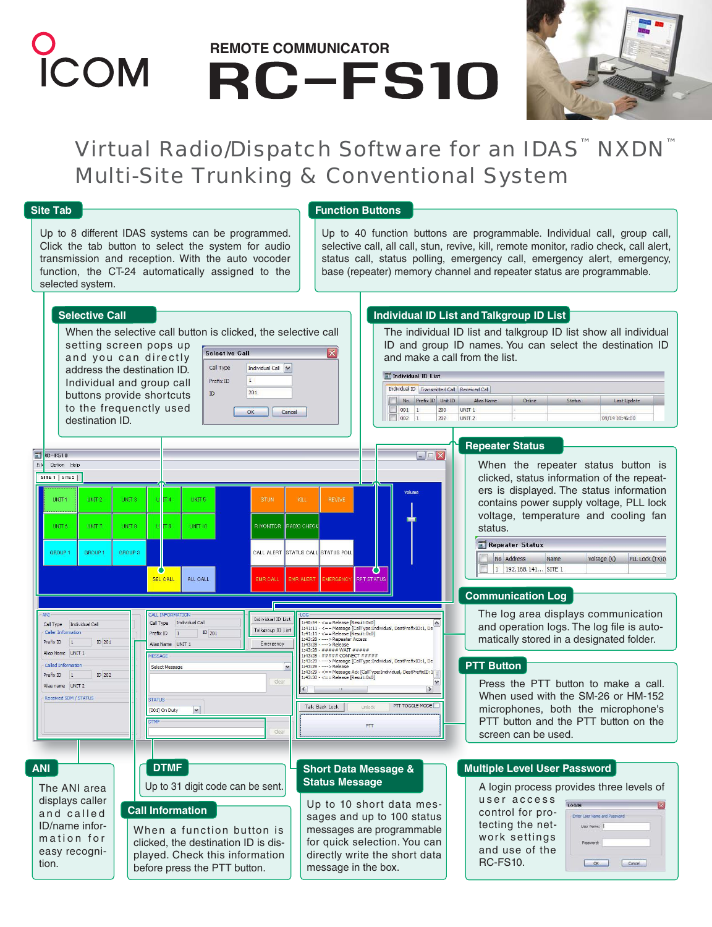# **PCOM** REMOTE COMMUNICATOR<br>**REMOTE COMMUNICATOR**



### Virtual Radio/Dispatch Software for an IDAS<sup>™</sup> NXDN<sup>™</sup> Multi-Site Trunking & Conventional System